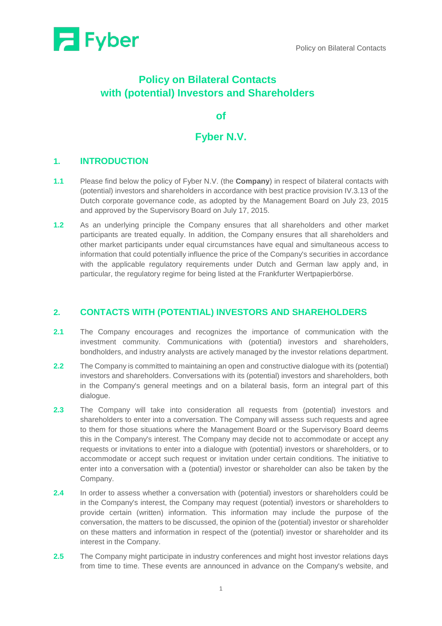

# **Policy on Bilateral Contacts with (potential) Investors and Shareholders**

**of**

## **Fyber N.V.**

## **1. INTRODUCTION**

- **1.1** Please find below the policy of Fyber N.V. (the **Company**) in respect of bilateral contacts with (potential) investors and shareholders in accordance with best practice provision IV.3.13 of the Dutch corporate governance code, as adopted by the Management Board on July 23, 2015 and approved by the Supervisory Board on July 17, 2015.
- **1.2** As an underlying principle the Company ensures that all shareholders and other market participants are treated equally. In addition, the Company ensures that all shareholders and other market participants under equal circumstances have equal and simultaneous access to information that could potentially influence the price of the Company's securities in accordance with the applicable regulatory requirements under Dutch and German law apply and, in particular, the regulatory regime for being listed at the Frankfurter Wertpapierbörse.

#### **2. CONTACTS WITH (POTENTIAL) INVESTORS AND SHAREHOLDERS**

- **2.1** The Company encourages and recognizes the importance of communication with the investment community. Communications with (potential) investors and shareholders, bondholders, and industry analysts are actively managed by the investor relations department.
- **2.2** The Company is committed to maintaining an open and constructive dialogue with its (potential) investors and shareholders. Conversations with its (potential) investors and shareholders, both in the Company's general meetings and on a bilateral basis, form an integral part of this dialogue.
- **2.3** The Company will take into consideration all requests from (potential) investors and shareholders to enter into a conversation. The Company will assess such requests and agree to them for those situations where the Management Board or the Supervisory Board deems this in the Company's interest. The Company may decide not to accommodate or accept any requests or invitations to enter into a dialogue with (potential) investors or shareholders, or to accommodate or accept such request or invitation under certain conditions. The initiative to enter into a conversation with a (potential) investor or shareholder can also be taken by the Company.
- **2.4** In order to assess whether a conversation with (potential) investors or shareholders could be in the Company's interest, the Company may request (potential) investors or shareholders to provide certain (written) information. This information may include the purpose of the conversation, the matters to be discussed, the opinion of the (potential) investor or shareholder on these matters and information in respect of the (potential) investor or shareholder and its interest in the Company.
- **2.5** The Company might participate in industry conferences and might host investor relations days from time to time. These events are announced in advance on the Company's website, and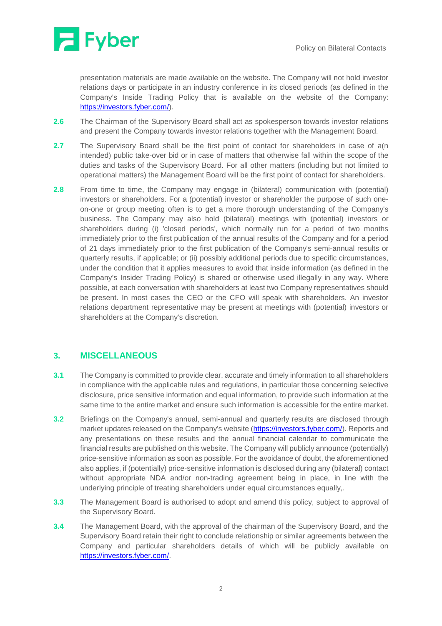

presentation materials are made available on the website. The Company will not hold investor relations days or participate in an industry conference in its closed periods (as defined in the Company's Inside Trading Policy that is available on the website of the Company: [https://investors.fyber.com/\)](https://investors.fyber.com/).

- **2.6** The Chairman of the Supervisory Board shall act as spokesperson towards investor relations and present the Company towards investor relations together with the Management Board.
- **2.7** The Supervisory Board shall be the first point of contact for shareholders in case of a(n intended) public take-over bid or in case of matters that otherwise fall within the scope of the duties and tasks of the Supervisory Board. For all other matters (including but not limited to operational matters) the Management Board will be the first point of contact for shareholders.
- **2.8** From time to time, the Company may engage in (bilateral) communication with (potential) investors or shareholders. For a (potential) investor or shareholder the purpose of such oneon-one or group meeting often is to get a more thorough understanding of the Company's business. The Company may also hold (bilateral) meetings with (potential) investors or shareholders during (i) 'closed periods', which normally run for a period of two months immediately prior to the first publication of the annual results of the Company and for a period of 21 days immediately prior to the first publication of the Company's semi-annual results or quarterly results, if applicable; or (ii) possibly additional periods due to specific circumstances, under the condition that it applies measures to avoid that inside information (as defined in the Company's Insider Trading Policy) is shared or otherwise used illegally in any way. Where possible, at each conversation with shareholders at least two Company representatives should be present. In most cases the CEO or the CFO will speak with shareholders. An investor relations department representative may be present at meetings with (potential) investors or shareholders at the Company's discretion.

### **3. MISCELLANEOUS**

- **3.1** The Company is committed to provide clear, accurate and timely information to all shareholders in compliance with the applicable rules and regulations, in particular those concerning selective disclosure, price sensitive information and equal information, to provide such information at the same time to the entire market and ensure such information is accessible for the entire market.
- **3.2** Briefings on the Company's annual, semi-annual and quarterly results are disclosed through market updates released on the Company's website [\(https://investors.fyber.com/\)](https://investors.fyber.com/). Reports and any presentations on these results and the annual financial calendar to communicate the financial results are published on this website. The Company will publicly announce (potentially) price-sensitive information as soon as possible. For the avoidance of doubt, the aforementioned also applies, if (potentially) price-sensitive information is disclosed during any (bilateral) contact without appropriate NDA and/or non-trading agreement being in place, in line with the underlying principle of treating shareholders under equal circumstances equally,.
- **3.3** The Management Board is authorised to adopt and amend this policy, subject to approval of the Supervisory Board.
- **3.4** The Management Board, with the approval of the chairman of the Supervisory Board, and the Supervisory Board retain their right to conclude relationship or similar agreements between the Company and particular shareholders details of which will be publicly available on [https://investors.fyber.com/.](https://investors.fyber.com/)